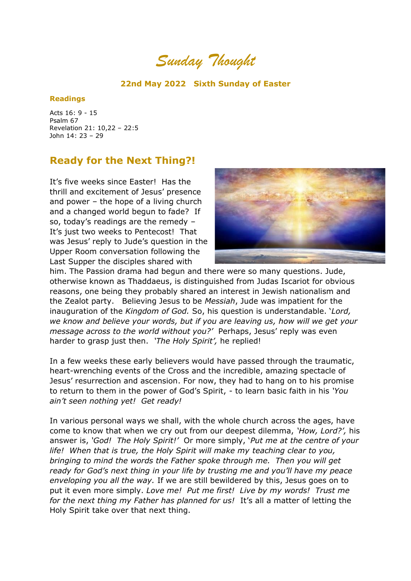*Sunday Thought*

## **22nd May 2022 Sixth Sunday of Easter**

## **Readings**

Acts 16: 9 - 15 Psalm 67 Revelation 21: 10,22 – 22:5 John 14: 23 – 29

## **Ready for the Next Thing?!**

It's five weeks since Easter! Has the thrill and excitement of Jesus' presence and power – the hope of a living church and a changed world begun to fade? If so, today's readings are the remedy – It's just two weeks to Pentecost! That was Jesus' reply to Jude's question in the Upper Room conversation following the Last Supper the disciples shared with



him. The Passion drama had begun and there were so many questions. Jude, otherwise known as Thaddaeus, is distinguished from Judas Iscariot for obvious reasons, one being they probably shared an interest in Jewish nationalism and the Zealot party. Believing Jesus to be *Messiah*, Jude was impatient for the inauguration of the *Kingdom of God.* So, his question is understandable. '*Lord, we know and believe your words, but if you are leaving us, how will we get your message across to the world without you?'* Perhaps, Jesus' reply was even harder to grasp just then. *'The Holy Spirit',* he replied!

In a few weeks these early believers would have passed through the traumatic, heart-wrenching events of the Cross and the incredible, amazing spectacle of Jesus' resurrection and ascension. For now, they had to hang on to his promise to return to them in the power of God's Spirit, - to learn basic faith in his *'You ain't seen nothing yet! Get ready!*

In various personal ways we shall, with the whole church across the ages, have come to know that when we cry out from our deepest dilemma, *'How, Lord?',* his answer is, *'God! The Holy Spirit!'* Or more simply, '*Put me at the centre of your life! When that is true, the Holy Spirit will make my teaching clear to you, bringing to mind the words the Father spoke through me. Then you will get ready for God's next thing in your life by trusting me and you'll have my peace enveloping you all the way.* If we are still bewildered by this, Jesus goes on to put it even more simply. *Love me! Put me first! Live by my words! Trust me for the next thing my Father has planned for us!* It's all a matter of letting the Holy Spirit take over that next thing.